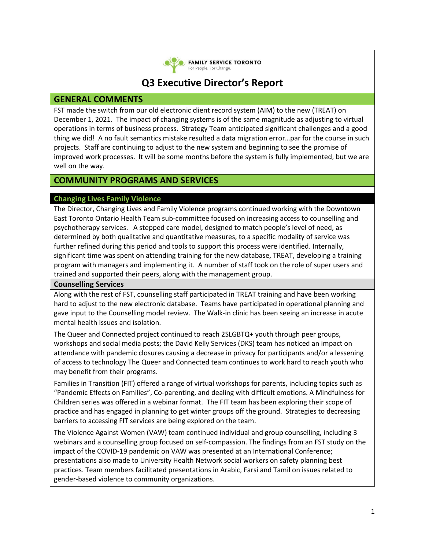

**CO FAMILY SERVICE TORONTO** For People. For Change.

# **Q3 Executive Director's Report**

# **GENERAL COMMENTS**

FST made the switch from our old electronic client record system (AIM) to the new (TREAT) on December 1, 2021. The impact of changing systems is of the same magnitude as adjusting to virtual operations in terms of business process. Strategy Team anticipated significant challenges and a good thing we did! A no fault semantics mistake resulted a data migration error…par for the course in such projects. Staff are continuing to adjust to the new system and beginning to see the promise of improved work processes. It will be some months before the system is fully implemented, but we are well on the way.

# **COMMUNITY PROGRAMS AND SERVICES**

## **Changing Lives Family Violence**

The Director, Changing Lives and Family Violence programs continued working with the Downtown East Toronto Ontario Health Team sub-committee focused on increasing access to counselling and psychotherapy services. A stepped care model, designed to match people's level of need, as determined by both qualitative and quantitative measures, to a specific modality of service was further refined during this period and tools to support this process were identified. Internally, significant time was spent on attending training for the new database, TREAT, developing a training program with managers and implementing it. A number of staff took on the role of super users and trained and supported their peers, along with the management group.

## **Counselling Services**

Along with the rest of FST, counselling staff participated in TREAT training and have been working hard to adjust to the new electronic database. Teams have participated in operational planning and gave input to the Counselling model review. The Walk-in clinic has been seeing an increase in acute mental health issues and isolation.

The Queer and Connected project continued to reach 2SLGBTQ+ youth through peer groups, workshops and social media posts; the David Kelly Services (DKS) team has noticed an impact on attendance with pandemic closures causing a decrease in privacy for participants and/or a lessening of access to technology The Queer and Connected team continues to work hard to reach youth who may benefit from their programs.

Families in Transition (FIT) offered a range of virtual workshops for parents, including topics such as "Pandemic Effects on Families", Co-parenting, and dealing with difficult emotions. A Mindfulness for Children series was offered in a webinar format. The FIT team has been exploring their scope of practice and has engaged in planning to get winter groups off the ground. Strategies to decreasing barriers to accessing FIT services are being explored on the team.

The Violence Against Women (VAW) team continued individual and group counselling, including 3 webinars and a counselling group focused on self-compassion. The findings from an FST study on the impact of the COVID-19 pandemic on VAW was presented at an International Conference; presentations also made to University Health Network social workers on safety planning best practices. Team members facilitated presentations in Arabic, Farsi and Tamil on issues related to gender-based violence to community organizations.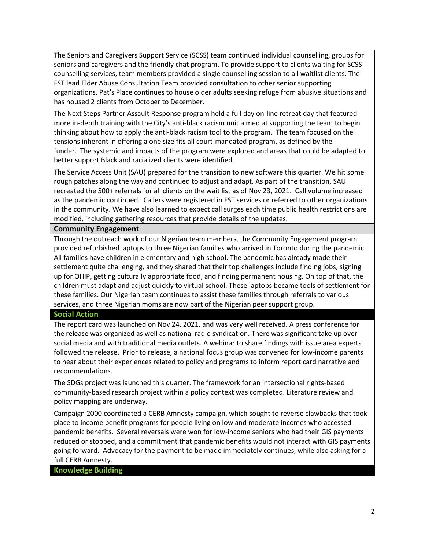The Seniors and Caregivers Support Service (SCSS) team continued individual counselling, groups for seniors and caregivers and the friendly chat program. To provide support to clients waiting for SCSS counselling services, team members provided a single counselling session to all waitlist clients. The FST lead Elder Abuse Consultation Team provided consultation to other senior supporting organizations. Pat's Place continues to house older adults seeking refuge from abusive situations and has housed 2 clients from October to December.

The Next Steps Partner Assault Response program held a full day on-line retreat day that featured more in-depth training with the City's anti-black racism unit aimed at supporting the team to begin thinking about how to apply the anti-black racism tool to the program. The team focused on the tensions inherent in offering a one size fits all court-mandated program, as defined by the funder. The systemic and impacts of the program were explored and areas that could be adapted to better support Black and racialized clients were identified.

The Service Access Unit (SAU) prepared for the transition to new software this quarter. We hit some rough patches along the way and continued to adjust and adapt. As part of the transition, SAU recreated the 500+ referrals for all clients on the wait list as of Nov 23, 2021. Call volume increased as the pandemic continued. Callers were registered in FST services or referred to other organizations in the community. We have also learned to expect call surges each time public health restrictions are modified, including gathering resources that provide details of the updates.

## **Community Engagement**

Through the outreach work of our Nigerian team members, the Community Engagement program provided refurbished laptops to three Nigerian families who arrived in Toronto during the pandemic. All families have children in elementary and high school. The pandemic has already made their settlement quite challenging, and they shared that their top challenges include finding jobs, signing up for OHIP, getting culturally appropriate food, and finding permanent housing. On top of that, the children must adapt and adjust quickly to virtual school. These laptops became tools of settlement for these families. Our Nigerian team continues to assist these families through referrals to various services, and three Nigerian moms are now part of the Nigerian peer support group.

## **Social Action**

The report card was launched on Nov 24, 2021, and was very well received. A press conference for the release was organized as well as national radio syndication. There was significant take up over social media and with traditional media outlets. A webinar to share findings with issue area experts followed the release. Prior to release, a national focus group was convened for low-income parents to hear about their experiences related to policy and programs to inform report card narrative and recommendations.

The SDGs project was launched this quarter. The framework for an intersectional rights-based community-based research project within a policy context was completed. Literature review and policy mapping are underway.

Campaign 2000 coordinated a CERB Amnesty campaign, which sought to reverse clawbacks that took place to income benefit programs for people living on low and moderate incomes who accessed pandemic benefits. Several reversals were won for low-income seniors who had their GIS payments reduced or stopped, and a commitment that pandemic benefits would not interact with GIS payments going forward. Advocacy for the payment to be made immediately continues, while also asking for a full CERB Amnesty.

## **Knowledge Building**